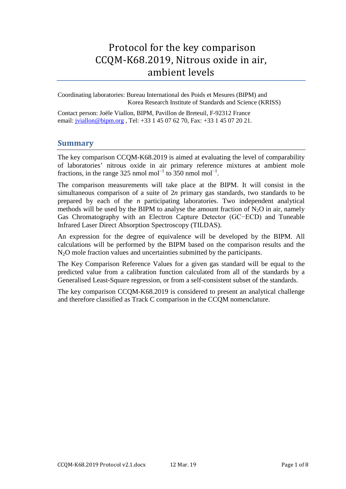# Protocol for the key comparison CCQM-K68.2019, Nitrous oxide in air, ambient levels

Coordinating laboratories: Bureau International des Poids et Mesures (BIPM) and Korea Research Institute of Standards and Science (KRISS)

Conta[ct person: Joële Viall](mailto:jviallon@bipm.org)on, BIPM, Pavillon de Breteuil, F-92312 France email: *jviallon@bipm.org*, Tel: +33 1 45 07 62 70, Fax: +33 1 45 07 20 21.

### **Summary**

The key comparison CCQM-K68.2019 is aimed at evaluating the level of comparability of laboratories' nitrous oxide in air primary reference mixtures at ambient mole fractions, in the range 325 nmol mol<sup>-1</sup> to 350 nmol mol<sup>-1</sup>.

The comparison measurements will take place at the BIPM. It will consist in the simultaneous comparison of a suite of 2*n* primary gas standards, two standards to be prepared by each of the *n* participating laboratories. Two independent analytical methods will be used by the BIPM to analyse the amount fraction of  $N_2O$  in air, namely Gas Chromatography with an Electron Capture Detector (GC−ECD) and Tuneable Infrared Laser Direct Absorption Spectroscopy (TILDAS).

An expression for the degree of equivalence will be developed by the BIPM. All calculations will be performed by the BIPM based on the comparison results and the N<sub>2</sub>O mole fraction values and uncertainties submitted by the participants.

The Key Comparison Reference Values for a given gas standard will be equal to the predicted value from a calibration function calculated from all of the standards by a Generalised Least-Square regression, or from a self-consistent subset of the standards.

The key comparison CCQM-K68.2019 is considered to present an analytical challenge and therefore classified as Track C comparison in the CCQM nomenclature.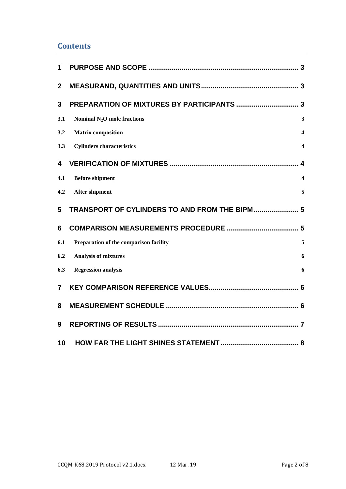## **Contents**

| 1                |                                               |                         |
|------------------|-----------------------------------------------|-------------------------|
| $\boldsymbol{2}$ |                                               |                         |
| 3                |                                               |                         |
| 3.1              | Nominal $N_2O$ mole fractions                 | 3                       |
| 3.2              | <b>Matrix composition</b>                     | 4                       |
| 3.3              | <b>Cylinders characteristics</b>              | $\overline{\mathbf{4}}$ |
| 4                |                                               |                         |
| 4.1              | <b>Before shipment</b>                        | $\overline{\mathbf{4}}$ |
| 4.2              | <b>After shipment</b>                         | 5                       |
| 5                | TRANSPORT OF CYLINDERS TO AND FROM THE BIPM 5 |                         |
| 6                |                                               |                         |
| 6.1              | Preparation of the comparison facility        | 5                       |
| 6.2              | <b>Analysis of mixtures</b>                   | 6                       |
| 6.3              | <b>Regression analysis</b>                    | 6                       |
| $\overline{7}$   |                                               |                         |
| 8                |                                               |                         |
| 9                |                                               |                         |
| 10               |                                               |                         |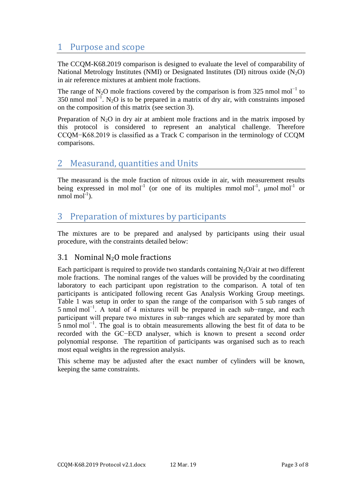# <span id="page-2-0"></span>1 Purpose and scope

The CCQM-K68.2019 comparison is designed to evaluate the level of comparability of National Metrology Institutes (NMI) or Designated Institutes (DI) nitrous oxide  $(N_2O)$ in air reference mixtures at ambient mole fractions.

The range of N<sub>2</sub>O mole fractions covered by the comparison is from 325 nmol mol<sup>-1</sup> to 350 nmol mol<sup>-1</sup>. N<sub>2</sub>O is to be prepared in a matrix of dry air, with constraints imposed on the composition of this matrix (see section [3\)](#page-2-2).

Preparation of  $N_2O$  in dry air at ambient mole fractions and in the matrix imposed by this protocol is considered to represent an analytical challenge. Therefore CCQM−K68.2019 is classified as a Track C comparison in the terminology of CCQM comparisons.

## <span id="page-2-1"></span>2 Measurand, quantities and Units

The measurand is the mole fraction of nitrous oxide in air, with measurement results being expressed in mol mol<sup>-1</sup> (or one of its multiples mmol mol<sup>-1</sup>,  $\mu$ mol mol<sup>-1</sup> or  $nmod$  mol<sup>-1</sup>).

# <span id="page-2-2"></span>3 Preparation of mixtures by participants

The mixtures are to be prepared and analysed by participants using their usual procedure, with the constraints detailed below:

## <span id="page-2-3"></span>3.1 Nominal N2O mole fractions

Each participant is required to provide two standards containing  $N_2O/a$  ir at two different mole fractions. The nominal ranges of the values will be provided by the coordinating laboratory to each participant upon registration to the comparison. A total of ten participants is anticipated following recent Gas Analysis Working Group meetings. [Table 1](#page-3-4) was setup in order to span the range of the comparison with 5 sub ranges of 5 nmol mol−1. A total of 4 mixtures will be prepared in each sub−range, and each participant will prepare two mixtures in sub−ranges which are separated by more than 5 nmol mol<sup>-1</sup>. The goal is to obtain measurements allowing the best fit of data to be recorded with the GC−ECD analyser, which is known to present a second order polynomial response. The repartition of participants was organised such as to reach most equal weights in the regression analysis.

This scheme may be adjusted after the exact number of cylinders will be known, keeping the same constraints.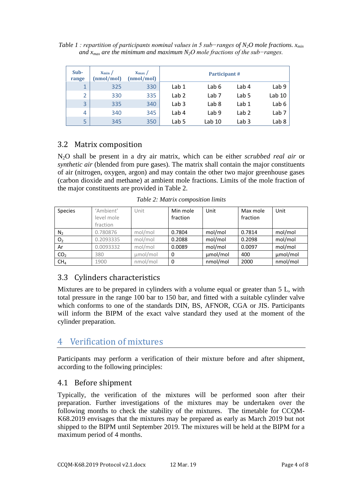<span id="page-3-4"></span>*Table 1 : repartition of participants nominal values in 5 sub−ranges of N2O mole fractions. xmin and xmax are the minimum and maximum N2O mole fractions of the sub−ranges.* 

| Sub-<br>range  | $X_{\min}$ /<br>(nmol/mol) | $X_{\text{max}}$ /<br>(nmol/mol) |                  | Participant#     |                  |                  |
|----------------|----------------------------|----------------------------------|------------------|------------------|------------------|------------------|
| $\mathbf{1}$   | 325                        | 330                              | Lab 1            | Lab 6            | Lab 4            | Lab <sub>9</sub> |
| 2              | 330                        | 335                              | Lab <sub>2</sub> | Lab <sub>7</sub> | Lab <sub>5</sub> | Lab 10           |
| 3              | 335                        | 340                              | Lab <sub>3</sub> | Lab <sub>8</sub> | Lab 1            | Lab 6            |
| $\overline{4}$ | 340                        | 345                              | Lab 4            | Lab <sub>9</sub> | Lab <sub>2</sub> | Lab <sub>7</sub> |
| 5              | 345                        | 350                              | Lab 5            | Lab 10           | Lab <sub>3</sub> | Lab <sub>8</sub> |

## <span id="page-3-0"></span>3.2 Matrix composition

N2O shall be present in a dry air matrix, which can be either *scrubbed real air* or *synthetic air* (blended from pure gases). The matrix shall contain the major constituents of air (nitrogen, oxygen, argon) and [may cont](#page-3-5)ain the other two major greenhouse gases (carbon dioxide and methane) at ambient mole fractions. Limits of the mole fraction of the major constituents are provided in Table 2.

<span id="page-3-5"></span>

| <b>Species</b> | 'Ambient'<br>level mole<br>fraction | Jnit    | Min mole<br>fraction | Unit    | Max mole<br>fraction | Unit    |
|----------------|-------------------------------------|---------|----------------------|---------|----------------------|---------|
| $N_{2}$        | 0.780876                            | mol/mol | 0.7804               | mol/mol | 0.7814               | mol/mol |
| O <sub>2</sub> | 0.2093335                           | mol/mol | 0.2088               | mol/mol | 0.2098               | mol/mol |

<span id="page-3-1"></span>Ar  $\vert$  0.0093332 | mol/mol | 0.0089 | mol/mol | 0.0097 | mol/mol **CO<sub>2</sub>** 380  $\mu$ mol/mol 0  $\mu$ **mol/mol** 400  $\mu$ **mol/mol**  $CH_4$  | 1900 | nmol/mol | 0 | nmol/mol | 2000 | nmol/mol

*Table 2: Matrix composition limits*

## 3.3 Cylinders characteristics

Mixtures are to be prepared in cylinders with a volume equal or greater than 5 L, with total pressure in the range 100 bar to 150 bar, and fitted with a suitable cylinder valve which conforms to one of the standards DIN, BS, AFNOR, CGA or JIS. Participants will inform the BIPM of the exact valve standard they used at the moment of the cylinder preparation.

# <span id="page-3-2"></span>4 Verification of mixtures

<span id="page-3-3"></span>Participants may perform a verification of their mixture before and after shipment, according to the following principles:

## 4.1 Before shipment

Typically, the verification of the mixtures will be performed soon after their preparation. Further investigations of the mixtures may be undertaken over the following months to check the stability of the mixtures. The timetable for CCQM-K68.2019 envisages that the mixtures may be prepared as early as March 2019 but not shipped to the BIPM until September 2019. The mixtures will be held at the BIPM for a maximum period of 4 months.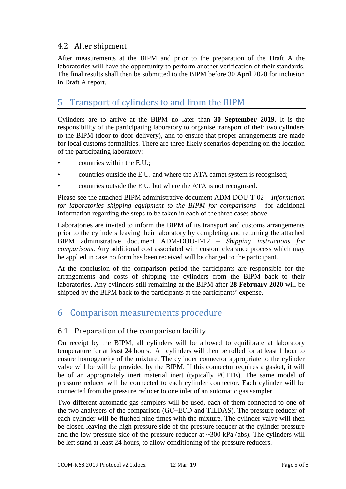## <span id="page-4-0"></span>4.2 After shipment

After measurements at the BIPM and prior to the preparation of the Draft A the laboratories will have the opportunity to perform another verification of their standards. The final results shall then be submitted to the BIPM before 30 April 2020 for inclusion in Draft A report.

# <span id="page-4-1"></span>5 Transport of cylinders to and from the BIPM

Cylinders are to arrive at the BIPM no later than **30 September 2019**. It is the responsibility of the participating laboratory to organise transport of their two cylinders to the BIPM (door to door delivery), and to ensure that proper arrangements are made for local customs formalities. There are three likely scenarios depending on the location of the participating laboratory:

- countries within the E.U.;
- countries outside the E.U. and where the ATA carnet system is recognised;
- countries outside the E.U. but where the ATA is not recognised.

Please see the attached BIPM administrative document ADM-DOU-T-02 – *Information for laboratories shipping equipment to the BIPM for comparisons* - for additional information regarding the steps to be taken in each of the three cases above.

Laboratories are invited to inform the BIPM of its transport and customs arrangements prior to the cylinders leaving their laboratory by completing and returning the attached BIPM administrative document ADM-DOU-F-12 – *Shipping instructions for comparisons*. Any additional cost associated with custom clearance process which may be applied in case no form has been received will be charged to the participant.

At the conclusion of the comparison period the participants are responsible for the arrangements and costs of shipping the cylinders from the BIPM back to their laboratories. Any cylinders still remaining at the BIPM after **28 February 2020** will be shipped by the BIPM back to the participants at the participants' expense.

# <span id="page-4-2"></span>6 Comparison measurements procedure

## <span id="page-4-3"></span>6.1 Preparation of the comparison facility

On receipt by the BIPM, all cylinders will be allowed to equilibrate at laboratory temperature for at least 24 hours. All cylinders will then be rolled for at least 1 hour to ensure homogeneity of the mixture. The cylinder connector appropriate to the cylinder valve will be will be provided by the BIPM. If this connector requires a gasket, it will be of an appropriately inert material inert (typically PCTFE). The same model of pressure reducer will be connected to each cylinder connector. Each cylinder will be connected from the pressure reducer to one inlet of an automatic gas sampler.

Two different automatic gas samplers will be used, each of them connected to one of the two analysers of the comparison (GC−ECD and TILDAS). The pressure reducer of each cylinder will be flushed nine times with the mixture. The cylinder valve will then be closed leaving the high pressure side of the pressure reducer at the cylinder pressure and the low pressure side of the pressure reducer at  $\sim$ 300 kPa (abs). The cylinders will be left stand at least 24 hours, to allow conditioning of the pressure reducers.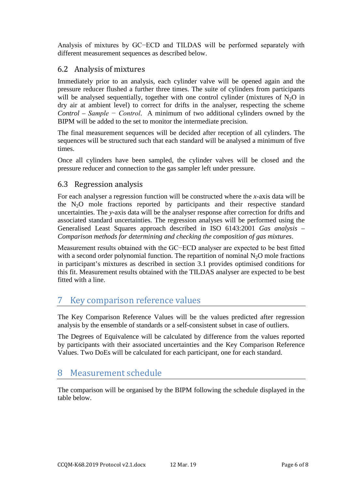Analysis of mixtures by GC−ECD and TILDAS will be performed separately with different measurement sequences as described below.

### <span id="page-5-0"></span>6.2 Analysis of mixtures

Immediately prior to an analysis, each cylinder valve will be opened again and the pressure reducer flushed a further three times. The suite of cylinders from participants will be analysed sequentially, together with one control cylinder (mixtures of  $N_2O$  in dry air at ambient level) to correct for drifts in the analyser, respecting the scheme *Control – Sample − Control*. A minimum of two additional cylinders owned by the BIPM will be added to the set to monitor the intermediate precision.

The final measurement sequences will be decided after reception of all cylinders. The sequences will be structured such that each standard will be analysed a minimum of five times.

Once all cylinders have been sampled, the cylinder valves will be closed and the pressure reducer and connection to the gas sampler left under pressure.

## <span id="page-5-1"></span>6.3 Regression analysis

For each analyser a regression function will be constructed where the *x*-axis data will be the  $N_2O$  mole fractions reported by participants and their respective standard uncertainties. The *y*-axis data will be the analyser response after correction for drifts and associated standard uncertainties. The regression analyses will be performed using the Generalised Least Squares approach described in ISO 6143:2001 *Gas analysis* – *Comparison methods for determining and checking the composition of gas mixtures*.

Measurement results obtained with the GC−ECD analyser are expected to be best fitted with a second order polynomial function. The repartition of nominal  $N_2O$  mole fractions in participant's mixtures as described in section [3.1](#page-2-3) provides optimised conditions for this fit. Measurement results obtained with the TILDAS analyser are expected to be best fitted with a line.

# <span id="page-5-2"></span>7 Key comparison reference values

The Key Comparison Reference Values will be the values predicted after regression analysis by the ensemble of standards or a self-consistent subset in case of outliers.

The Degrees of Equivalence will be calculated by difference from the values reported by participants with their associated uncertainties and the Key Comparison Reference Values. Two DoEs will be calculated for each participant, one for each standard.

# <span id="page-5-3"></span>8 Measurement schedule

The comparison will be organised by the BIPM following the schedule displayed in the table below.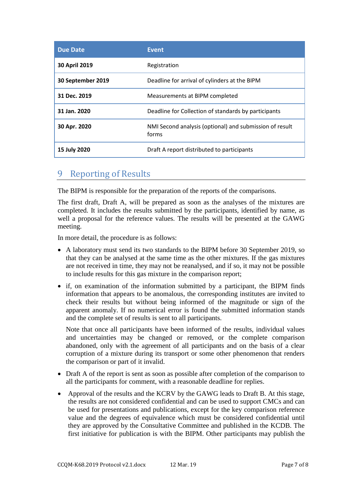| <b>Due Date</b>   | <b>Event</b>                                                     |
|-------------------|------------------------------------------------------------------|
| 30 April 2019     | Registration                                                     |
| 30 September 2019 | Deadline for arrival of cylinders at the BIPM                    |
| 31 Dec. 2019      | Measurements at BIPM completed                                   |
| 31 Jan. 2020      | Deadline for Collection of standards by participants             |
| 30 Apr. 2020      | NMI Second analysis (optional) and submission of result<br>forms |
| 15 July 2020      | Draft A report distributed to participants                       |

## <span id="page-6-0"></span>9 Reporting of Results

The BIPM is responsible for the preparation of the reports of the comparisons.

The first draft, Draft A, will be prepared as soon as the analyses of the mixtures are completed. It includes the results submitted by the participants, identified by name, as well a proposal for the reference values. The results will be presented at the GAWG meeting.

In more detail, the procedure is as follows:

- A laboratory must send its two standards to the BIPM before 30 September 2019, so that they can be analysed at the same time as the other mixtures. If the gas mixtures are not received in time, they may not be reanalysed, and if so, it may not be possible to include results for this gas mixture in the comparison report;
- if, on examination of the information submitted by a participant, the BIPM finds information that appears to be anomalous, the corresponding institutes are invited to check their results but without being informed of the magnitude or sign of the apparent anomaly. If no numerical error is found the submitted information stands and the complete set of results is sent to all participants.

Note that once all participants have been informed of the results, individual values and uncertainties may be changed or removed, or the complete comparison abandoned, only with the agreement of all participants and on the basis of a clear corruption of a mixture during its transport or some other phenomenon that renders the comparison or part of it invalid.

- Draft A of the report is sent as soon as possible after completion of the comparison to all the participants for comment, with a reasonable deadline for replies.
- Approval of the results and the KCRV by the GAWG leads to Draft B. At this stage, the results are not considered confidential and can be used to support CMCs and can be used for presentations and publications, except for the key comparison reference value and the degrees of equivalence which must be considered confidential until they are approved by the Consultative Committee and published in the KCDB. The first initiative for publication is with the BIPM. Other participants may publish the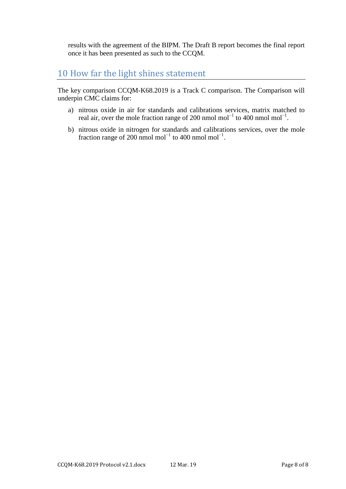results with the agreement of the BIPM. The Draft B report becomes the final report once it has been presented as such to the CCQM.

# <span id="page-7-0"></span>10 How far the light shines statement

The key comparison CCQM-K68.2019 is a Track C comparison. The Comparison will underpin CMC claims for:

- a) nitrous oxide in air for standards and calibrations services, matrix matched to real air, over the mole fraction range of 200 nmol mol<sup>-1</sup> to 400 nmol mol<sup>-1</sup>.
- b) nitrous oxide in nitrogen for standards and calibrations services, over the mole fraction range of 200 nmol mol<sup>-1</sup> to 400 nmol mol<sup>-1</sup>.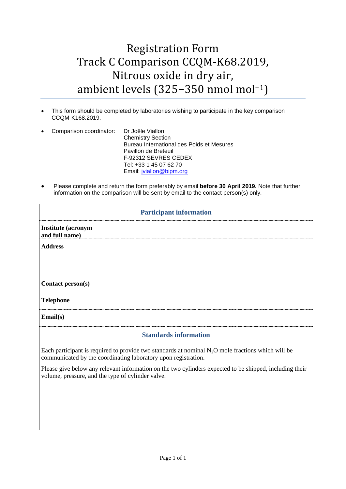# Registration Form Track C Comparison CCQM-K68.2019, Nitrous oxide in dry air, ambient levels (325−350 nmol mol<sup>−</sup>1)

- This form should be completed by laboratories wishing to participate in the key comparison CCQM-K168.2019.
- Comparison coordinator: Dr Joële Viallon Chemistry Section Bureau International des Poids et Mesures Pavillon de Breteuil F-92312 SEVRES CEDEX Tel: +33 1 45 07 62 70 Email: [jviallon@bipm.org](mailto:jviallon@bipm.org)
- Please complete and return the form preferably by email **before 30 April 2019.** Note that further information on the comparison will be sent by email to the contact person(s) only.

| <b>Participant information</b>              |                              |  |  |  |
|---------------------------------------------|------------------------------|--|--|--|
| <b>Institute (acronym</b><br>and full name) |                              |  |  |  |
| <b>Address</b>                              |                              |  |  |  |
| Contact person(s)                           |                              |  |  |  |
| <b>Telephone</b>                            |                              |  |  |  |
| Email(s)                                    |                              |  |  |  |
|                                             | <b>Standards information</b> |  |  |  |

Each participant is required to provide two standards at nominal  $N_2O$  mole fractions which will be communicated by the coordinating laboratory upon registration.

Please give below any relevant information on the two cylinders expected to be shipped, including their volume, pressure, and the type of cylinder valve.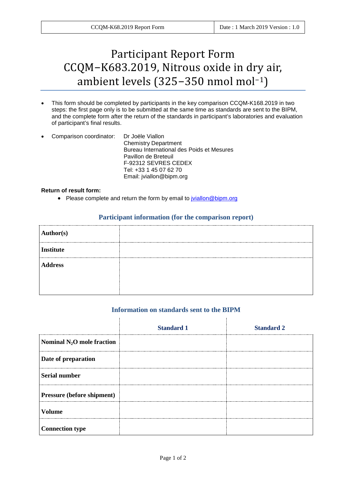# Participant Report Form CCQM−K683.2019, Nitrous oxide in dry air, ambient levels (325−350 nmol mol−1)

- This form should be completed by participants in the key comparison CCQM-K168.2019 in two steps: the first page only is to be submitted at the same time as standards are sent to the BIPM, and the complete form after the return of the standards in participant's laboratories and evaluation of participant's final results.
- Comparison coordinator: Dr Joële Viallon Chemistry Department Bureau International des Poids et Mesures Pavillon de Breteuil F-92312 SEVRES CEDEX Tel: +33 1 45 07 62 70 Email: jviallon@bipm.org

#### **Return of result form:**

• Please complete and return the form by email to [jviallon@bipm.org](mailto:jviallon@bipm.org)

#### **Participant information (for the comparison report)**

| Author(s)      |  |
|----------------|--|
| Institute      |  |
| <b>Address</b> |  |
|                |  |
|                |  |

#### **Information on standards sent to the BIPM**

|                              | <b>Standard 1</b> | <b>Standard 2</b> |
|------------------------------|-------------------|-------------------|
| Nominal $N_2O$ mole fraction |                   |                   |
| Date of preparation          |                   |                   |
| <b>Serial number</b>         |                   |                   |
| Pressure (before shipment)   |                   |                   |
| <b>Volume</b>                |                   |                   |
| <b>Connection type</b>       |                   |                   |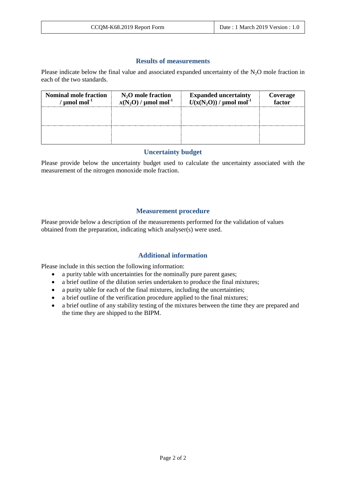### **Results of measurements**

Please indicate below the final value and associated expanded uncertainty of the  $N_2O$  mole fraction in each of the two standards.

| <b>Nominal mole fraction</b><br>$\mu$ mol mol $^{-1}$ | $N_2O$ mole fraction<br>$x(N_2O) / \mu$ mol mol <sup>-1</sup> | <b>Expanded uncertainty</b><br>$U(x(N_2O)) / \mu$ mol mol <sup>-1</sup> | <b>Coverage</b><br>factor |
|-------------------------------------------------------|---------------------------------------------------------------|-------------------------------------------------------------------------|---------------------------|
|                                                       |                                                               |                                                                         |                           |
|                                                       |                                                               |                                                                         |                           |

#### **Uncertainty budget**

Please provide below the uncertainty budget used to calculate the uncertainty associated with the measurement of the nitrogen monoxide mole fraction.

### **Measurement procedure**

Please provide below a description of the measurements performed for the validation of values obtained from the preparation, indicating which analyser(s) were used.

### **Additional information**

Please include in this section the following information:

- a purity table with uncertainties for the nominally pure parent gases;
- a brief outline of the dilution series undertaken to produce the final mixtures;
- a purity table for each of the final mixtures, including the uncertainties;
- a brief outline of the verification procedure applied to the final mixtures;
- a brief outline of any stability testing of the mixtures between the time they are prepared and the time they are shipped to the BIPM.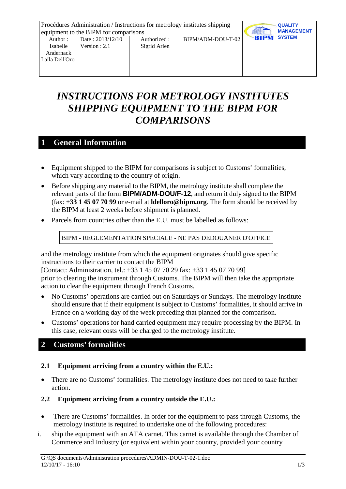|                | Procédures Administration / Instructions for metrology institutes shipping | <b>QUALITY</b> |                   |                              |
|----------------|----------------------------------------------------------------------------|----------------|-------------------|------------------------------|
|                | equipment to the BIPM for comparisons                                      |                |                   | <b>MANAGEMENT</b>            |
| Author:        | Date: $2013/12/10$                                                         | Authorized :   | BIPM/ADM-DOU-T-02 | <b>SYSTEM</b><br><b>BIPM</b> |
| Isabelle       | Version : $2.1$                                                            | Sigrid Arlen   |                   |                              |
| Andernack      |                                                                            |                |                   |                              |
| Laïla Dell'Oro |                                                                            |                |                   |                              |
|                |                                                                            |                |                   |                              |
|                |                                                                            |                |                   |                              |

# *INSTRUCTIONS FOR METROLOGY INSTITUTES SHIPPING EQUIPMENT TO THE BIPM FOR COMPARISONS*

## **1 General Information**

- Equipment shipped to the BIPM for comparisons is subject to Customs' formalities, which vary according to the country of origin.
- Before shipping any material to the BIPM, the metrology institute shall complete the relevant parts of the form **BIPM/ADM-DOU/F-12**, and return it duly signed to the BIPM (fax: **+33 1 45 07 70 99** or e-mail at **ldelloro@bipm.org**. The form should be received by the BIPM at least 2 weeks before shipment is planned.
- Parcels from countries other than the E.U. must be labelled as follows:

BIPM - REGLEMENTATION SPECIALE - NE PAS DEDOUANER D'OFFICE

and the metrology institute from which the equipment originates should give specific instructions to their carrier to contact the BIPM

[Contact: Administration, tel.: +33 1 45 07 70 29 fax: +33 1 45 07 70 99] prior to clearing the instrument through Customs. The BIPM will then take the appropriate action to clear the equipment through French Customs.

- No Customs' operations are carried out on Saturdays or Sundays. The metrology institute should ensure that if their equipment is subject to Customs' formalities, it should arrive in France on a working day of the week preceding that planned for the comparison.
- Customs' operations for hand carried equipment may require processing by the BIPM. In this case, relevant costs will be charged to the metrology institute.

# **2 Customs' formalities**

### **2.1 Equipment arriving from a country within the E.U.:**

• There are no Customs' formalities. The metrology institute does not need to take further action.

## **2.2 Equipment arriving from a country outside the E.U.:**

- There are Customs' formalities. In order for the equipment to pass through Customs, the metrology institute is required to undertake one of the following procedures:
- i. ship the equipment with an ATA carnet. This carnet is available through the Chamber of Commerce and Industry (or equivalent within your country, provided your country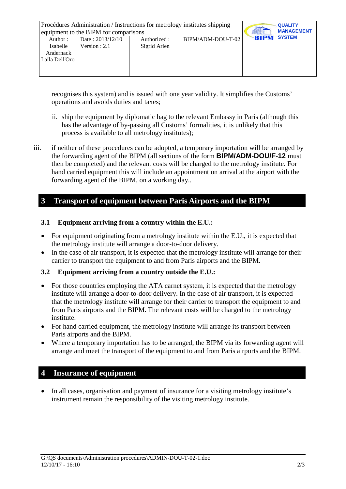|                                       | Procédures Administration / Instructions for metrology institutes shipping |              | <b>QUALITY</b>    |                              |
|---------------------------------------|----------------------------------------------------------------------------|--------------|-------------------|------------------------------|
| equipment to the BIPM for comparisons | <b>MANAGEMENT</b>                                                          |              |                   |                              |
| Author:                               | Date: $2013/12/10$                                                         | Authorized : | BIPM/ADM-DOU-T-02 | <b>SYSTEM</b><br><b>BIPM</b> |
| Isabelle                              | Version : $2.1$                                                            | Sigrid Arlen |                   |                              |
| Andernack                             |                                                                            |              |                   |                              |
| Laïla Dell'Oro                        |                                                                            |              |                   |                              |
|                                       |                                                                            |              |                   |                              |
|                                       |                                                                            |              |                   |                              |

recognises this system) and is issued with one year validity. It simplifies the Customs' operations and avoids duties and taxes;

- ii. ship the equipment by diplomatic bag to the relevant Embassy in Paris (although this has the advantage of by-passing all Customs' formalities, it is unlikely that this process is available to all metrology institutes);
- iii. if neither of these procedures can be adopted, a temporary importation will be arranged by the forwarding agent of the BIPM (all sections of the form **BIPM/ADM-DOU/F-12** must then be completed) and the relevant costs will be charged to the metrology institute. For hand carried equipment this will include an appointment on arrival at the airport with the forwarding agent of the BIPM, on a working day..

## **3 Transport of equipment between Paris Airports and the BIPM**

### **3.1 Equipment arriving from a country within the E.U.:**

- For equipment originating from a metrology institute within the E.U., it is expected that the metrology institute will arrange a door-to-door delivery.
- In the case of air transport, it is expected that the metrology institute will arrange for their carrier to transport the equipment to and from Paris airports and the BIPM.

### **3.2 Equipment arriving from a country outside the E.U.:**

- For those countries employing the ATA carnet system, it is expected that the metrology institute will arrange a door-to-door delivery. In the case of air transport, it is expected that the metrology institute will arrange for their carrier to transport the equipment to and from Paris airports and the BIPM. The relevant costs will be charged to the metrology institute.
- For hand carried equipment, the metrology institute will arrange its transport between Paris airports and the BIPM.
- Where a temporary importation has to be arranged, the BIPM via its forwarding agent will arrange and meet the transport of the equipment to and from Paris airports and the BIPM.

# **4 Insurance of equipment**

• In all cases, organisation and payment of insurance for a visiting metrology institute's instrument remain the responsibility of the visiting metrology institute.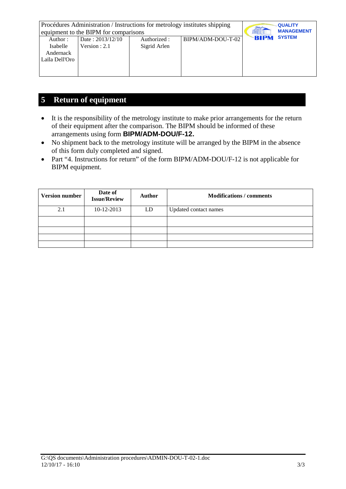| Procédures Administration / Instructions for metrology institutes shipping<br>equipment to the BIPM for comparisons | <b>QUALITY</b><br><b>MANAGEMENT</b> |              |                   |                              |
|---------------------------------------------------------------------------------------------------------------------|-------------------------------------|--------------|-------------------|------------------------------|
| Author:                                                                                                             | Date: $2013/12/10$                  | Authorized : | BIPM/ADM-DOU-T-02 | <b>SYSTEM</b><br><b>BIPM</b> |
| Isabelle                                                                                                            | Version : $2.1$                     | Sigrid Arlen |                   |                              |
| Andernack                                                                                                           |                                     |              |                   |                              |
| Laïla Dell'Oro                                                                                                      |                                     |              |                   |                              |
|                                                                                                                     |                                     |              |                   |                              |
|                                                                                                                     |                                     |              |                   |                              |

# **5 Return of equipment**

- It is the responsibility of the metrology institute to make prior arrangements for the return of their equipment after the comparison. The BIPM should be informed of these arrangements using form **BIPM/ADM-DOU/F-12.**
- No shipment back to the metrology institute will be arranged by the BIPM in the absence of this form duly completed and signed.
- Part "4. Instructions for return" of the form BIPM/ADM-DOU/F-12 is not applicable for BIPM equipment.

| <b>Version number</b> | Date of<br><b>Issue/Review</b> | <b>Author</b> | <b>Modifications / comments</b> |
|-----------------------|--------------------------------|---------------|---------------------------------|
| 2.1                   | 10-12-2013                     | LD            | Updated contact names           |
|                       |                                |               |                                 |
|                       |                                |               |                                 |
|                       |                                |               |                                 |
|                       |                                |               |                                 |